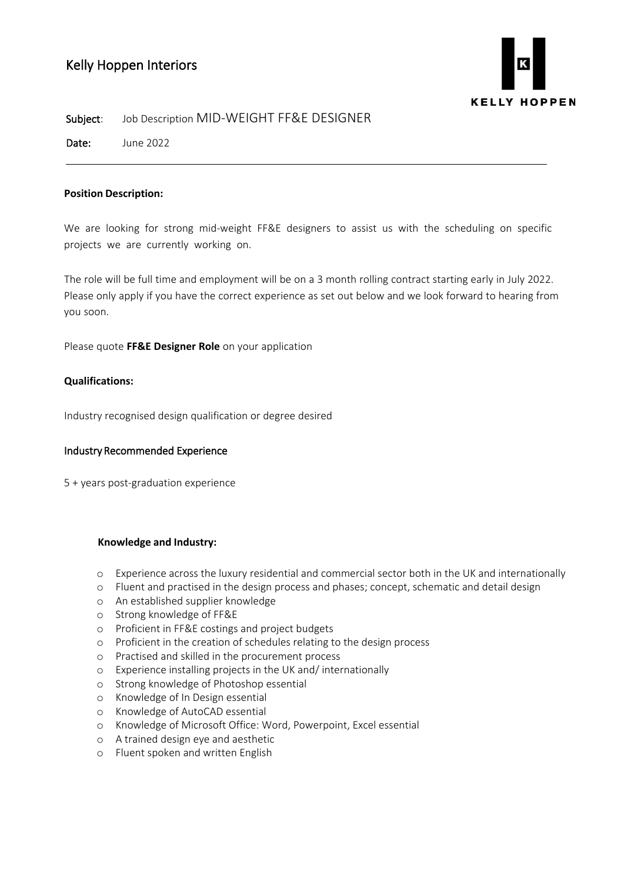# Kelly Hoppen Interiors



#### Subject: Job Description MID-WEIGHT FF&E DESIGNER

Date: June 2022

## **Position Description:**

We are looking for strong mid-weight FF&E designers to assist us with the scheduling on specific projects we are currently working on.

The role will be full time and employment will be on a 3 month rolling contract starting early in July 2022. Please only apply if you have the correct experience as set out below and we look forward to hearing from you soon.

Please quote **FF&E Designer Role** on your application

## **Qualifications:**

Industry recognised design qualification or degree desired

# Industry Recommended Experience

5 + years post-graduation experience

#### **Knowledge and Industry:**

- o Experience across the luxury residential and commercial sector both in the UK and internationally
- o Fluent and practised in the design process and phases; concept, schematic and detail design
- o An established supplier knowledge
- o Strong knowledge of FF&E
- o Proficient in FF&E costings and project budgets
- o Proficient in the creation of schedules relating to the design process
- o Practised and skilled in the procurement process
- o Experience installing projects in the UK and/ internationally
- o Strong knowledge of Photoshop essential
- o Knowledge of In Design essential
- o Knowledge of AutoCAD essential
- o Knowledge of Microsoft Office: Word, Powerpoint, Excel essential
- o A trained design eye and aesthetic
- o Fluent spoken and written English